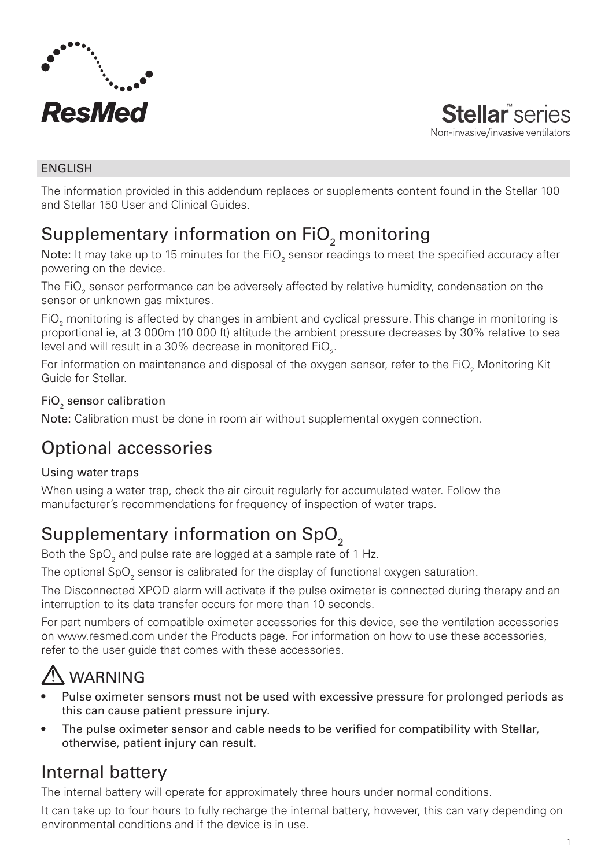

**Stellar** series Non-invasive/invasive ventilators

#### ENGLISH

The information provided in this addendum replaces or supplements content found in the Stellar 100 and Stellar 150 User and Clinical Guides.

# Supplementary information on FiO<sub>2</sub> monitoring

**Note:** It may take up to 15 minutes for the FiO<sub>2</sub> sensor readings to meet the specified accuracy after powering on the device.

The FiO $_{\textrm{\tiny{2}}}$  sensor performance can be adversely affected by relative humidity, condensation on the sensor or unknown gas mixtures.

FiO $_2$  monitoring is affected by changes in ambient and cyclical pressure. This change in monitoring is proportional ie, at 3 000m (10 000 ft) altitude the ambient pressure decreases by 30% relative to sea level and will result in a 30% decrease in monitored FiO $_{_2}$ .

For information on maintenance and disposal of the oxygen sensor, refer to the FiO $_2$  Monitoring Kit Guide for Stellar.

### FiO $_{\tiny 2}$  sensor calibration

Note: Calibration must be done in room air without supplemental oxygen connection.

# Optional accessories

#### Using water traps

When using a water trap, check the air circuit regularly for accumulated water. Follow the manufacturer's recommendations for frequency of inspection of water traps.

# Supplementary information on SpO<sub>2</sub>

Both the SpO $_2$  and pulse rate are logged at a sample rate of 1 Hz.

The optional SpO $_2^{}$  sensor is calibrated for the display of functional oxygen saturation.

The Disconnected XPOD alarm will activate if the pulse oximeter is connected during therapy and an interruption to its data transfer occurs for more than 10 seconds.

For part numbers of compatible oximeter accessories for this device, see the ventilation accessories on www.resmed.com under the Products page. For information on how to use these accessories, refer to the user guide that comes with these accessories.

# WARNING

- Pulse oximeter sensors must not be used with excessive pressure for prolonged periods as this can cause patient pressure injury.
- The pulse oximeter sensor and cable needs to be verified for compatibility with Stellar, otherwise, patient injury can result.

# Internal battery

The internal battery will operate for approximately three hours under normal conditions.

It can take up to four hours to fully recharge the internal battery, however, this can vary depending on environmental conditions and if the device is in use.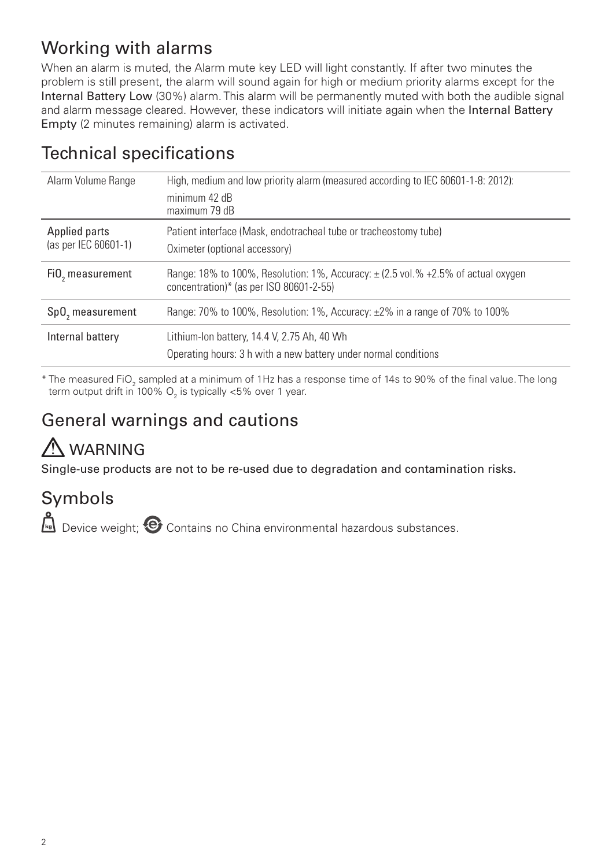# Working with alarms

When an alarm is muted, the Alarm mute key LED will light constantly. If after two minutes the problem is still present, the alarm will sound again for high or medium priority alarms except for the Internal Battery Low (30%) alarm. This alarm will be permanently muted with both the audible signal and alarm message cleared. However, these indicators will initiate again when the Internal Battery Empty (2 minutes remaining) alarm is activated.

| Alarm Volume Range                    | High, medium and low priority alarm (measured according to IEC 60601-1-8: 2012):<br>minimum 42 dB<br>maximum 79 dB               |
|---------------------------------------|----------------------------------------------------------------------------------------------------------------------------------|
| Applied parts<br>(as per IEC 60601-1) | Patient interface (Mask, endotracheal tube or tracheostomy tube)<br>Oximeter (optional accessory)                                |
| FiO, measurement                      | Range: 18% to 100%, Resolution: 1%, Accuracy: $\pm$ (2.5 vol.% +2.5% of actual oxygen<br>concentration)* (as per ISO 80601-2-55) |
| SpO <sub>2</sub> measurement          | Range: 70% to 100%, Resolution: 1%, Accuracy: $\pm$ 2% in a range of 70% to 100%                                                 |
| Internal battery                      | Lithium-Ion battery, 14.4 V, 2.75 Ah, 40 Wh<br>Operating hours: 3 h with a new battery under normal conditions                   |

# Technical specifications

 $^*$  The measured FiO $_{_2}$  sampled at a minimum of 1Hz has a response time of 14s to 90% of the final value. The long term output drift in 100%  $\mathrm{O}_2$  is typically <5% over 1 year.

# General warnings and cautions

# A WARNING

Single-use products are not to be re-used due to degradation and contamination risks.

# Symbols

Device weight;  $\bullet$  Contains no China environmental hazardous substances.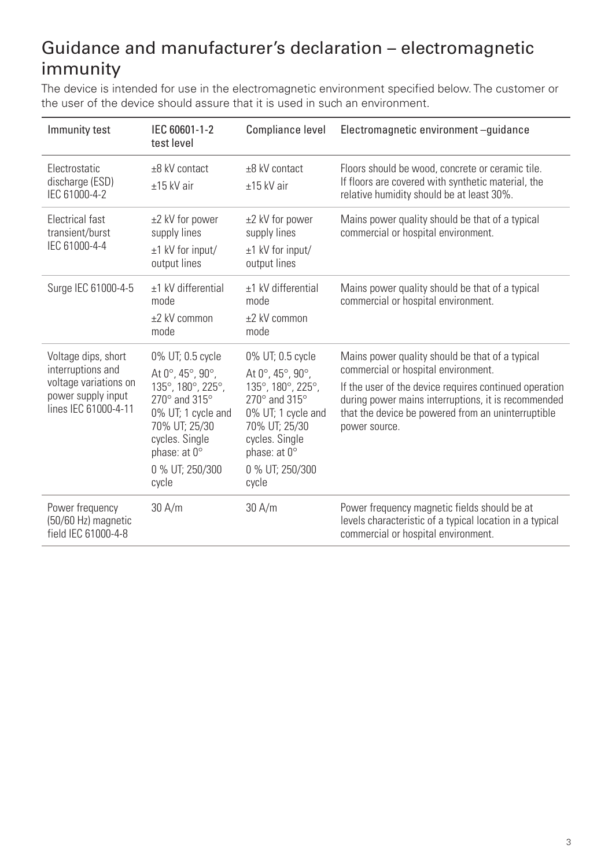# Guidance and manufacturer's declaration – electromagnetic immunity

The device is intended for use in the electromagnetic environment specified below. The customer or the user of the device should assure that it is used in such an environment.

| Immunity test                                                                                                   | IEC 60601-1-2<br>test level                                                                                                                                                                                                         | Compliance level                                                                                                                                                                              | Electromagnetic environment-quidance                                                                                                                                                                                                                                           |
|-----------------------------------------------------------------------------------------------------------------|-------------------------------------------------------------------------------------------------------------------------------------------------------------------------------------------------------------------------------------|-----------------------------------------------------------------------------------------------------------------------------------------------------------------------------------------------|--------------------------------------------------------------------------------------------------------------------------------------------------------------------------------------------------------------------------------------------------------------------------------|
| <b>Flectrostatic</b><br>discharge (ESD)<br>IEC 61000-4-2                                                        | $\pm 8$ kV contact<br>$±15$ kV air                                                                                                                                                                                                  | +8 kV contact<br>$±15$ kV air                                                                                                                                                                 | Floors should be wood, concrete or ceramic tile.<br>If floors are covered with synthetic material, the<br>relative humidity should be at least 30%.                                                                                                                            |
| <b>Electrical fast</b><br>transient/burst<br>IEC 61000-4-4                                                      | ±2 kV for power<br>supply lines<br>$±1$ kV for input/<br>output lines                                                                                                                                                               | ±2 kV for power<br>supply lines<br>$±1$ kV for input/<br>output lines                                                                                                                         | Mains power quality should be that of a typical<br>commercial or hospital environment.                                                                                                                                                                                         |
| Surge IEC 61000-4-5                                                                                             | $±1$ kV differential<br>mode<br>$+2$ kV common<br>mode                                                                                                                                                                              | $±1$ kV differential<br>mode<br>$\pm 2$ kV common<br>mode                                                                                                                                     | Mains power quality should be that of a typical<br>commercial or hospital environment.                                                                                                                                                                                         |
| Voltage dips, short<br>interruptions and<br>voltage variations on<br>power supply input<br>lines IEC 61000-4-11 | 0% UT; 0.5 cycle<br>At $0^{\circ}$ , 45 $^{\circ}$ , 90 $^{\circ}$ ,<br>135°, 180°, 225°,<br>270 $^{\circ}$ and 315 $^{\circ}$<br>0% UT; 1 cycle and<br>70% UT; 25/30<br>cycles. Single<br>phase: at 0°<br>0 % UT; 250/300<br>cycle | 0% UT; 0.5 cycle<br>At 0°, 45°, 90°,<br>135°, 180°, 225°,<br>$270^\circ$ and $315^\circ$<br>0% UT; 1 cycle and<br>70% UT: 25/30<br>cycles. Single<br>phase: at 0°<br>0 % UT; 250/300<br>cycle | Mains power quality should be that of a typical<br>commercial or hospital environment.<br>If the user of the device requires continued operation<br>during power mains interruptions, it is recommended<br>that the device be powered from an uninterruptible<br>power source. |
| Power frequency<br>(50/60 Hz) magnetic<br>field IEC 61000-4-8                                                   | 30A/m                                                                                                                                                                                                                               | 30 A/m                                                                                                                                                                                        | Power frequency magnetic fields should be at<br>levels characteristic of a typical location in a typical<br>commercial or hospital environment.                                                                                                                                |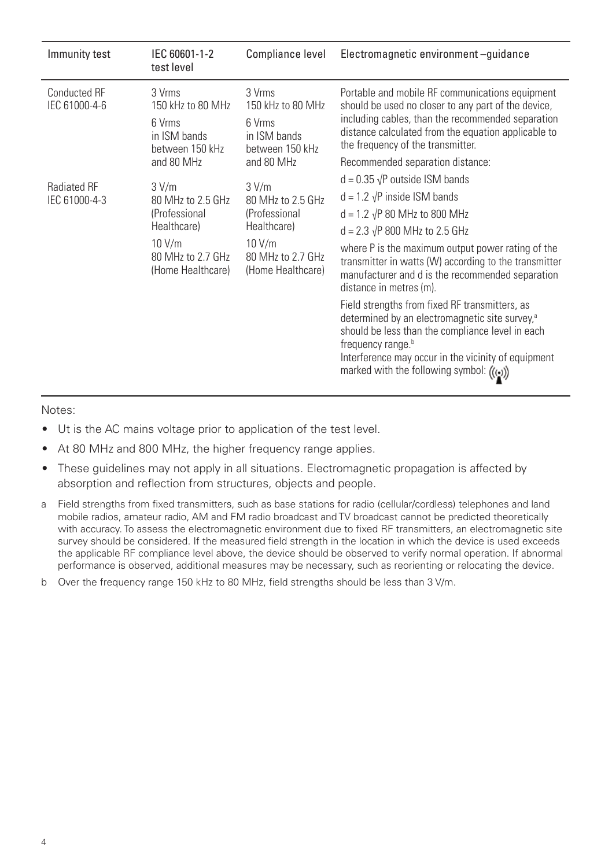| Immunity test                        | IEC 60601-1-2<br>test level                                                                                    | Compliance level                                                                                               | Electromagnetic environment-quidance                                                                                                                                                                                                                                                                                                                                       |
|--------------------------------------|----------------------------------------------------------------------------------------------------------------|----------------------------------------------------------------------------------------------------------------|----------------------------------------------------------------------------------------------------------------------------------------------------------------------------------------------------------------------------------------------------------------------------------------------------------------------------------------------------------------------------|
| <b>Conducted RF</b><br>IEC 61000-4-6 | 3 Vrms<br>150 kHz to 80 MHz<br>6 Vrms<br>in ISM bands<br>between 150 kHz                                       | 3 Vrms<br>150 kHz to 80 MHz<br>6 Vrms<br>in ISM bands<br>between 150 kHz                                       | Portable and mobile RF communications equipment<br>should be used no closer to any part of the device,<br>including cables, than the recommended separation<br>distance calculated from the equation applicable to<br>the frequency of the transmitter.                                                                                                                    |
|                                      | and 80 MHz                                                                                                     | and 80 MHz                                                                                                     | Recommended separation distance:                                                                                                                                                                                                                                                                                                                                           |
| <b>Radiated RF</b><br>IEC 61000-4-3  | 3 V/m<br>80 MHz to 2.5 GHz<br>(Professional<br>Healthcare)<br>10 V/m<br>80 MHz to 2.7 GHz<br>(Home Healthcare) | 3 V/m<br>80 MHz to 2.5 GHz<br>(Professional<br>Healthcare)<br>10 V/m<br>80 MHz to 2.7 GHz<br>(Home Healthcare) | $d = 0.35 \sqrt{P}$ outside ISM bands<br>$d = 1.2 \sqrt{P}$ inside ISM bands<br>$d = 1.2 \sqrt{P} 80 \text{ MHz}$ to 800 MHz<br>$d = 2.3 \sqrt{P} 800 \text{ MHz}$ to 2.5 GHz<br>where P is the maximum output power rating of the<br>transmitter in watts (W) according to the transmitter<br>manufacturer and d is the recommended separation<br>distance in metres (m). |
|                                      |                                                                                                                |                                                                                                                | Field strengths from fixed RF transmitters, as<br>determined by an electromagnetic site survey, <sup>a</sup><br>should be less than the compliance level in each<br>frequency range. <sup>b</sup><br>Interference may occur in the vicinity of equipment<br>marked with the following symbol: (((•))                                                                       |

Notes:

- Ut is the AC mains voltage prior to application of the test level.
- At 80 MHz and 800 MHz, the higher frequency range applies.
- These quidelines may not apply in all situations. Electromagnetic propagation is affected by absorption and reflection from structures, objects and people.
- a Field strengths from fixed transmitters, such as base stations for radio (cellular/cordless) telephones and land mobile radios, amateur radio, AM and FM radio broadcast and TV broadcast cannot be predicted theoretically with accuracy. To assess the electromagnetic environment due to fixed RF transmitters, an electromagnetic site survey should be considered. If the measured field strength in the location in which the device is used exceeds the applicable RF compliance level above, the device should be observed to verify normal operation. If abnormal performance is observed, additional measures may be necessary, such as reorienting or relocating the device.
- b Over the frequency range 150 kHz to 80 MHz, field strengths should be less than 3 V/m.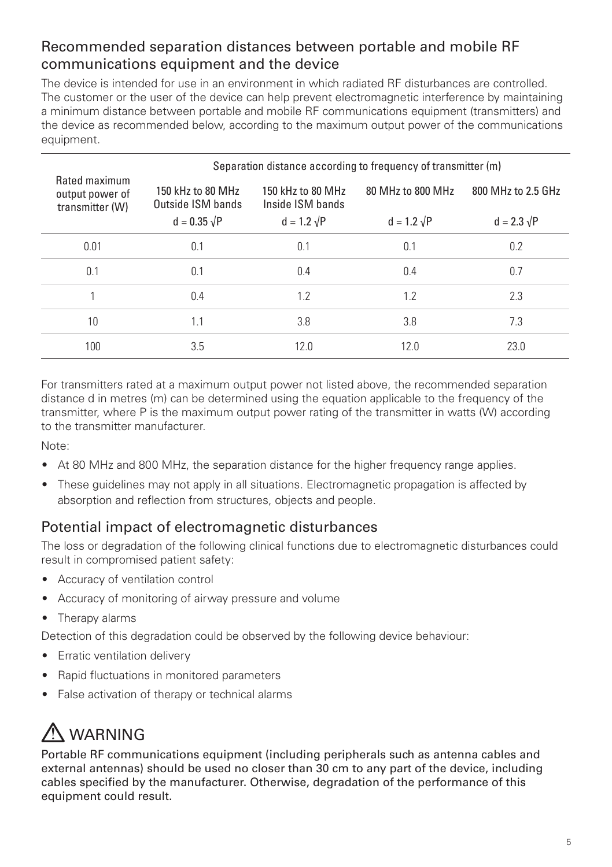### Recommended separation distances between portable and mobile RF communications equipment and the device

The device is intended for use in an environment in which radiated RF disturbances are controlled. The customer or the user of the device can help prevent electromagnetic interference by maintaining a minimum distance between portable and mobile RF communications equipment (transmitters) and the device as recommended below, according to the maximum output power of the communications equipment.

|                                                     | Separation distance according to frequency of transmitter (m) |                                       |                    |                    |
|-----------------------------------------------------|---------------------------------------------------------------|---------------------------------------|--------------------|--------------------|
| Rated maximum<br>output power of<br>transmitter (W) | 150 kHz to 80 MHz<br>Outside ISM bands                        | 150 kHz to 80 MHz<br>Inside ISM bands | 80 MHz to 800 MHz  | 800 MHz to 2.5 GHz |
|                                                     | $d = 0.35 \sqrt{P}$                                           | $d = 1.2 \sqrt{P}$                    | $d = 1.2 \sqrt{P}$ | $d = 2.3 \sqrt{P}$ |
| 0.01                                                | 0.1                                                           | 0.1                                   | 0.1                | 0.2                |
| 0.1                                                 | 0.1                                                           | 0.4                                   | 0.4                | 0.7                |
|                                                     | 0.4                                                           | 1.2                                   | 1.2                | 2.3                |
| 10                                                  | 1.1                                                           | 3.8                                   | 3.8                | 7.3                |
| 100                                                 | 3.5                                                           | 12.0                                  | 12.0               | 23.0               |

For transmitters rated at a maximum output power not listed above, the recommended separation distance d in metres (m) can be determined using the equation applicable to the frequency of the transmitter, where P is the maximum output power rating of the transmitter in watts (W) according to the transmitter manufacturer.

Note:

- At 80 MHz and 800 MHz, the separation distance for the higher frequency range applies.
- These guidelines may not apply in all situations. Electromagnetic propagation is affected by absorption and reflection from structures, objects and people.

### Potential impact of electromagnetic disturbances

The loss or degradation of the following clinical functions due to electromagnetic disturbances could result in compromised patient safety:

- Accuracy of ventilation control
- Accuracy of monitoring of airway pressure and volume
- Therapy alarms

Detection of this degradation could be observed by the following device behaviour:

- Erratic ventilation delivery
- Rapid fluctuations in monitored parameters
- False activation of therapy or technical alarms

# A WARNING

Portable RF communications equipment (including peripherals such as antenna cables and external antennas) should be used no closer than 30 cm to any part of the device, including cables specified by the manufacturer. Otherwise, degradation of the performance of this equipment could result.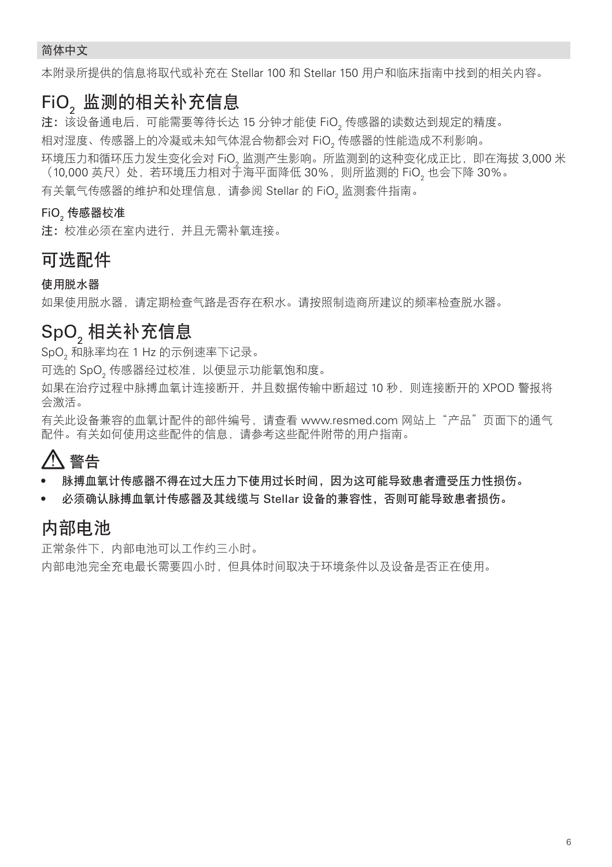#### 简体中文

本附录所提供的信息将取代或补充在 Stellar 100 和 Stellar 150 用户和临床指南中找到的相关内容。

### **FiO**, 监测的相关补充信息

注: 该设备通电后, 可能需要等待长达 15 分钟才能使 FiO。传感器的读数达到规定的精度。 相对湿度、传感器上的冷凝或未知气体混合物都会对 FiO2 传感器的性能造成不利影响。

环境压力和循环压力发生变化会对 FiO。监测产生影响。所监测到的这种变化成正比,即在海拔 3,000 米 (10,000 英尺)处,若环境压力相对于海平面降低 30%,则所监测的 FiO,也会下降 30%。

有关氧气传感器的维护和处理信息,请参阅 Stellar 的 FiO2 监测套件指南。

#### **FiO**, 传感器校准

注: 校准必须在室内进行,并且无需补氧连接。

#### 可选配件

使用脱水器

如果使用脱水器,请定期检查气路是否存在积水。请按照制造商所建议的频率检查脱水器。

### SpO<sub>2</sub>相关补充信息

SpO2 和脉率均在 1 Hz 的示例速率下记录。

可选的 SpO2 传感器经过校准,以便显示功能氧饱和度。

如果在治疗过程中脉搏血氧计连接断开,并且数据传输中断超过 10 秒,则连接断开的 XPOD 警报将 会激活。

有关此设备兼容的血氧计配件的部件编号,请查看 www.resmed.com 网站上"产品"页面下的通气 配件。有关如何使用这些配件的信息,请参考这些配件附带的用户指南。

# 警告

- 脉搏血氧计传感器不得在过大压力下使用过长时间,因为这可能导致患者遭受压力性损伤。
- 必须确认脉搏血氧计传感器及其线缆与 Stellar 设备的兼容性,否则可能导致患者损伤。

### 内部电池

正常条件下,内部电池可以工作约三小时。 内部电池完全充电最长需要四小时,但具体时间取决于环境条件以及设备是否正在使用。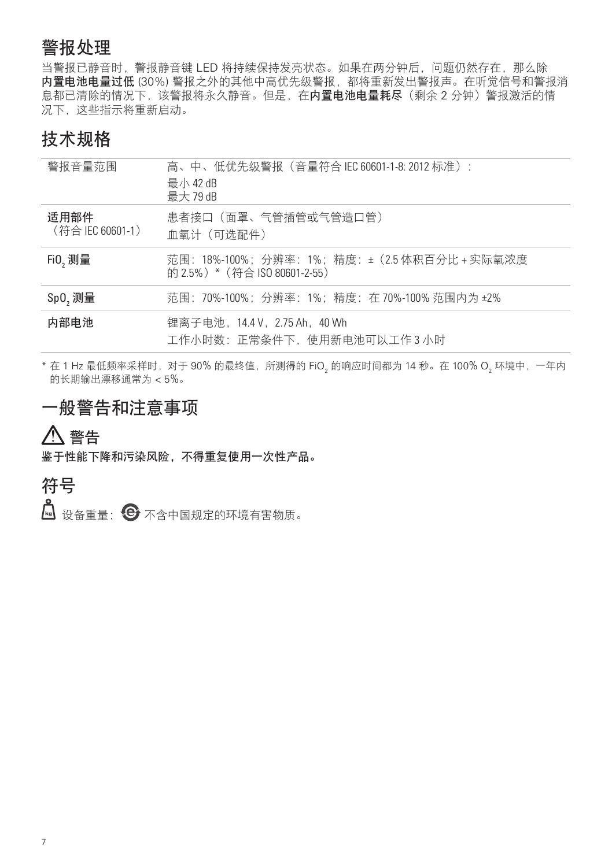### 警报处理

当警报已静音时,警报静音键 LED 将持续保持发亮状态。如果在两分钟后,问题仍然存在,那么除 内置电池电量过低 (30%) 警报之外的其他中高优先级警报,都将重新发出警报声。在听觉信号和警报消 息都已清除的情况下,该警报将永久静音。但是,在内置电池电量耗尽(剩余 2 分钟)警报激活的情 况下,这些指示将重新启动。

### 技术规格

| 警报音量范围                   | 高、中、低优先级警报(音量符合 IEC 60601-1-8: 2012 标准):<br>最小42 dB<br>最大 79 dB                  |
|--------------------------|----------------------------------------------------------------------------------|
| 适用部件<br>(符合 IEC 60601-1) | 患者接口(面罩、气管插管或气管造口管)<br>血氧计(可选配件)                                                 |
| $FiO,  $                 | 范围: 18%-100%; 分辨率: 1%; 精度: ± (2.5 体积百分比 + 实际氧浓度<br>的 2.5%) * (符合 ISO 80601-2-55) |
| Sp0, 测量                  | 范围: 70%-100%; 分辨率: 1%; 精度: 在70%-100%范围内为±2%                                      |
| 内部电池                     | 锂离子电池, 14.4 V, 2.75 Ah, 40 Wh<br>工作小时数:正常条件下,使用新电池可以工作3小时                        |

\*在 1 Hz 最低频率采样时,对于 90% 的最终值,所测得的 FiO, 的响应时间都为 14 秒。在 100% O, 环境中, 一年内 的长期输出漂移通常为 < 5%。

## 一般警告和注意事项

警告

鉴于性能下降和污染风险,不得重复使用一次性产品。

### 符号

6 设备重量; → 不含中国规定的环境有害物质。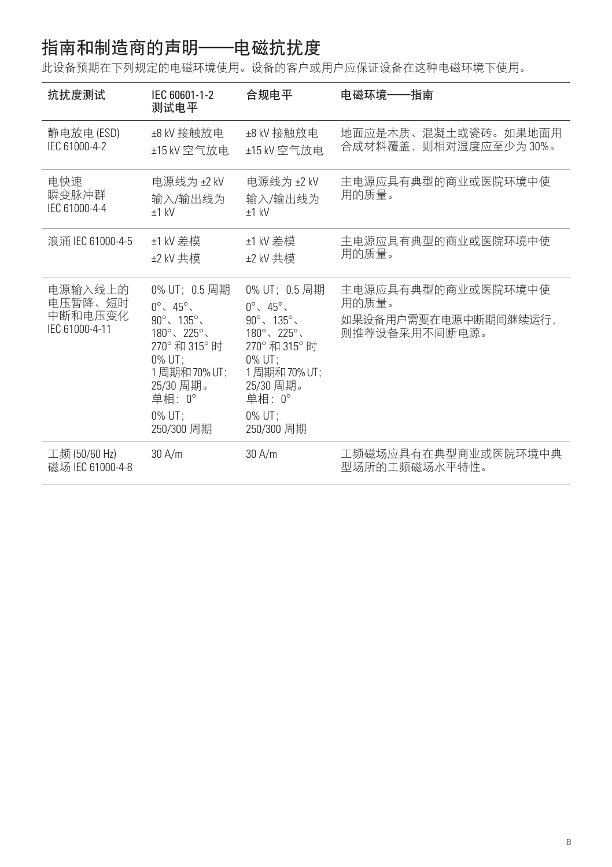# 指南和制造商的声明——电磁抗扰度

此设备预期在下列规定的电磁环境使用。设备的客户或用户应保证设备在这种电磁环境下使用。

| 抗扰度测试                                           | IEC 60601-1-2<br>测试电平                                                                                                                                                                                 | 合规电平                                                                                                                                                                                                                | 电磁环境——指南                                                             |
|-------------------------------------------------|-------------------------------------------------------------------------------------------------------------------------------------------------------------------------------------------------------|---------------------------------------------------------------------------------------------------------------------------------------------------------------------------------------------------------------------|----------------------------------------------------------------------|
| 静电放电(ESD)<br>IEC 61000-4-2                      | ±8 kV 接触放电<br>±15 kV 空气放电                                                                                                                                                                             | ±8 kV 接触放电<br>±15 kV 空气放电                                                                                                                                                                                           | 地面应是木质、混凝土或瓷砖。如果地面用<br>合成材料覆盖,则相对湿度应至少为30%。                          |
| 电快速<br>瞬变脉冲群<br>IEC 61000-4-4                   | 电源线为 ±2 kV<br>输入/输出线为<br>$±1$ kV                                                                                                                                                                      | 电源线为 ±2 kV<br>输入/输出线为<br>$±1$ kV                                                                                                                                                                                    | 主电源应具有典型的商业或医院环境中使<br>用的质量。                                          |
| 浪涌 IEC 61000-4-5                                | ±1 kV 差模<br>±2 kV 共模                                                                                                                                                                                  | ±1 kV 差模<br>±2 kV 共模                                                                                                                                                                                                | 主电源应具有典型的商业或医院环境中使<br>用的质量。                                          |
| 电源输入线上的<br>电压暂降、短时<br>中断和电压变化<br>IEC 61000-4-11 | 0% UT: 0.5 周期<br>$0^\circ$ , $45^\circ$ ,<br>$90^\circ$ , $135^\circ$ ,<br>$180^{\circ}$ , $225^{\circ}$ ,<br>270°和315°时<br>$0\%$ UT:<br>1周期和70%UT:<br>25/30 周期。<br>单相: 0°<br>$0\%$ UT:<br>250/300 周期 | 0% UT: 0.5 周期<br>$0^\circ$ , $45^\circ$ ,<br>$90^{\circ}$ , $135^{\circ}$ ,<br>$180^{\circ}$ , $225^{\circ}$ ,<br>270° 和 315° 时<br>$0\%$ UT:<br>1周期和70%UT:<br>25/30 周期。<br>单相: $0^\circ$<br>$0\%$ UT:<br>250/300 周期 | 主电源应具有典型的商业或医院环境中使<br>用的质量。<br>如果设备用户需要在电源中断期间继续运行,<br>则推荐设备采用不间断电源。 |
| 工频 (50/60 Hz)<br>磁场 IEC 61000-4-8               | 30 A/m                                                                                                                                                                                                | 30 A/m                                                                                                                                                                                                              | 工频磁场应具有在典型商业或医院环境中典<br>型场所的工频磁场水平特性。                                 |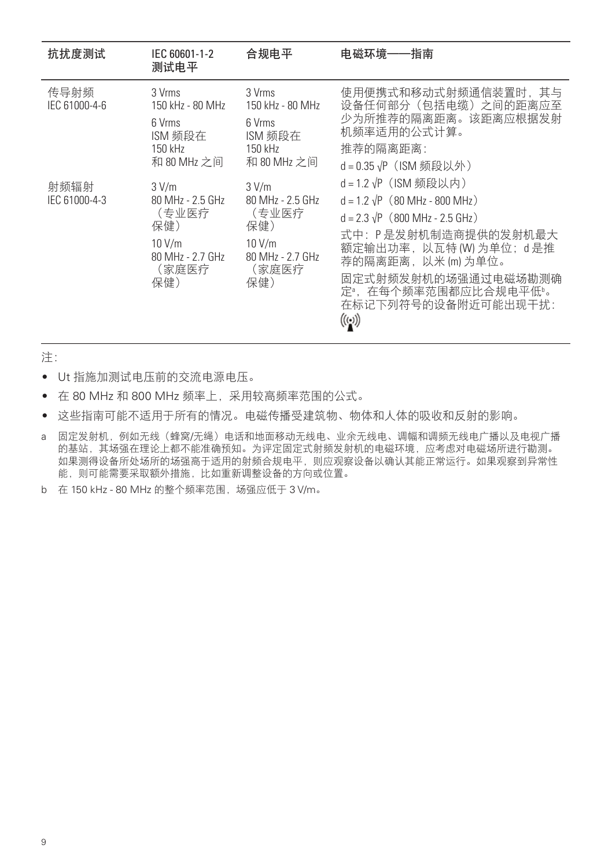| 抗扰度测试                 | IEC 60601-1-2<br>测试电平                                                                   | 合规电平                                                                                      | 电磁环境-<br>一指南                                                                                                                                                                                                                                                                    |
|-----------------------|-----------------------------------------------------------------------------------------|-------------------------------------------------------------------------------------------|---------------------------------------------------------------------------------------------------------------------------------------------------------------------------------------------------------------------------------------------------------------------------------|
| 传导射频<br>IEC 61000-4-6 | 3 Vrms<br>150 kHz - 80 MHz<br>6 Vrms<br>ISM 频段在<br>150 kHz<br>和 80 MHz 之间               | 3 Vrms<br>150 kHz - 80 MHz<br>6 Vrms<br>ISM 频段在<br>150 kHz<br>和 80 MHz 之间                 | 使用便携式和移动式射频通信装置时,其与<br>设备任何部分(包括电缆)之间的距离应至<br>少为所推荐的隔离距离。该距离应根据发射<br>机频率适用的公式计算。<br>推荐的隔离距离:<br>d = 0.35 √P (ISM 频段以外)                                                                                                                                                          |
| 射频辐射<br>IEC 61000-4-3 | 3 V/m<br>80 MHz - 2.5 GHz<br>(专业医疗<br>保健)<br>10 V/m<br>80 MHz - 2.7 GHz<br>(家庭医疗<br>保健) | 3 V/m<br>80 MHz - 2.5 GHz<br>(专业医疗<br>保健)<br>$10$ V/m<br>80 MHz - 2.7 GHz<br>(家庭医疗<br>保健) | d = 1.2 √P (ISM 频段以内)<br>$d = 1.2 \sqrt{P}$ (80 MHz - 800 MHz)<br>$d = 2.3 \sqrt{P}$ (800 MHz - 2.5 GHz)<br>式中:P是发射机制造商提供的发射机最大<br>额定输出功率, 以瓦特 (W) 为单位; d 是推<br>荐的隔离距离, 以米 (m) 为单位。<br>固定式射频发射机的场强通过电磁场勘测确<br>定 <sup>。</sup> ,在每个频率范围都应比合规电平低"。<br>在标记下列符号的设备附近可能出现干扰:<br>((⊶)) |

注:

- Ut 指施加测试电压前的交流电源电压。
- 在 80 MHz 和 800 MHz 频率上,采用较高频率范围的公式。
- 这些指南可能不适用于所有的情况。电磁传播受建筑物、物体和人体的吸收和反射的影响。
- a 固定发射机,例如无线(蜂窝/无绳)电话和地面移动无线电、业余无线电、调幅和调频无线电广播以及电视广播 的基站,其场强在理论上都不能准确预知。为评定固定式射频发射机的电磁环境,应考虑对电磁场所进行勘测。 如果测得设备所处场所的场强高于适用的射频合规电平,则应观察设备以确认其能正常运行。如果观察到异常性 能,则可能需要采取额外措施,比如重新调整设备的方向或位置。
- b 在 150 kHz 80 MHz 的整个频率范围, 场强应低于 3 V/m。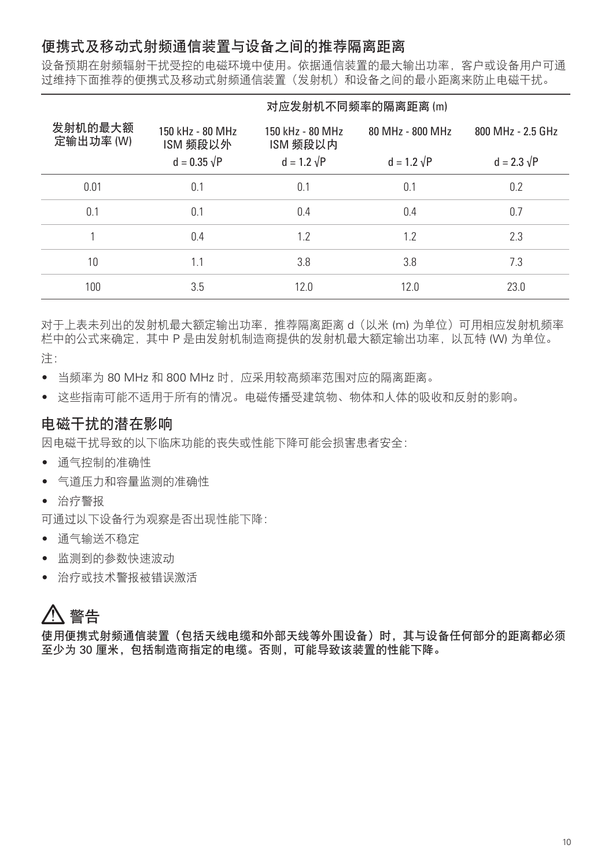### 便携式及移动式射频通信装置与设备之间的推荐隔离距离

设备预期在射频辐射干扰受控的电磁环境中使用。依据通信装置的最大输出功率,客户或设备用户可通 过维持下面推荐的便携式及移动式射频通信装置(发射机)和设备之间的最小距离来防止电磁干扰。

|                      |                              |                              | 对应发射机不同频率的隔离距离(m)  |                    |
|----------------------|------------------------------|------------------------------|--------------------|--------------------|
| 发射机的最大额<br>定输出功率 (W) | 150 kHz - 80 MHz<br>ISM 频段以外 | 150 kHz - 80 MHz<br>ISM 频段以内 | 80 MHz - 800 MHz   | 800 MHz - 2.5 GHz  |
|                      | $d = 0.35 \sqrt{P}$          | $d = 1.2 \sqrt{P}$           | $d = 1.2 \sqrt{P}$ | $d = 2.3 \sqrt{P}$ |
| 0.01                 | 0.1                          | 0.1                          | 0.1                | 0.2                |
| 0.1                  | 0.1                          | 0.4                          | 0.4                | 0.7                |
|                      | 0.4                          | 1.2                          | 1.2                | 2.3                |
| $10 \,$              | 1.1                          | 3.8                          | 3.8                | 7.3                |
| 100                  | 3.5                          | 12.0                         | 12.0               | 23.0               |

对于上表未列出的发射机最大额定输出功率, 推荐隔离距离 d (以米 (m) 为单位) 可用相应发射机频率 栏中的公式来确定,其中 P 是由发射机制造商提供的发射机最大额定输出功率,以瓦特 (W) 为单位。 注:

- 当频率为 80 MHz 和 800 MHz 时,应采用较高频率范围对应的隔离距离。
- 这些指南可能不适用于所有的情况。电磁传播受建筑物、物体和人体的吸收和反射的影响。

### 电磁干扰的潜在影响

因电磁干扰导致的以下临床功能的丧失或性能下降可能会损害患者安全:

- 通气控制的准确性
- 气道压力和容量监测的准确性
- 治疗警报

可通过以下设备行为观察是否出现性能下降:

- 通气输送不稳定
- 监测到的参数快速波动
- 治疗或技术警报被错误激活

# 警告

使用便携式射频通信装置(包括天线电缆和外部天线等外围设备)时,其与设备任何部分的距离都必须 至少为 30 厘米,包括制造商指定的电缆。否则,可能导致该装置的性能下降。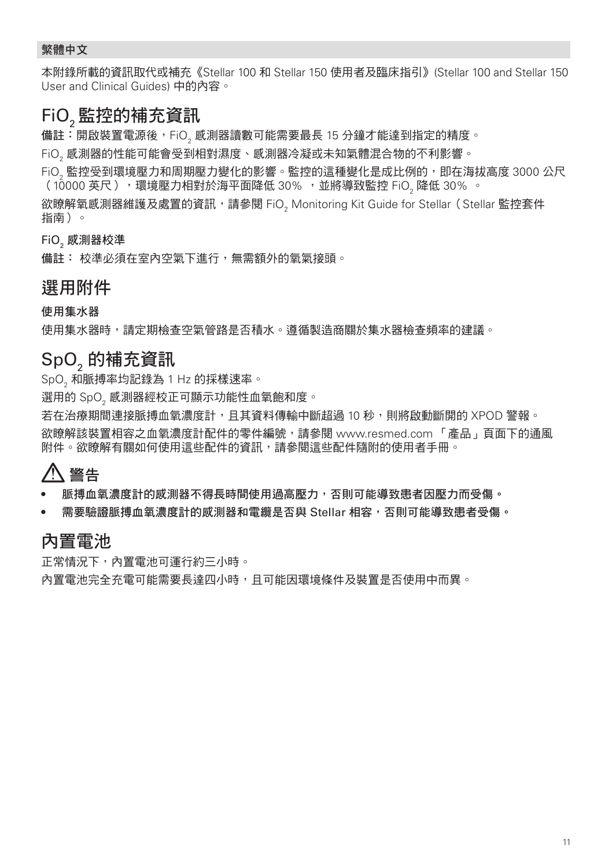#### 繁體中文

本附錄所載的資訊取代或補充《Stellar 100 和 Stellar 150 使用者及臨床指引》(Stellar 100 and Stellar 150 User and Clinical Guides) 中的內容。

### FiO2 監控的補充資訊

備註:開啟裝置電源後,FiO<sub>。</sub>感測器讀數可能需要最長 15 分鐘才能達到指定的精度。

FiO, 感測器的性能可能會受到相對濕度、感測器冷凝或未知氣體混合物的不利影響。

FiO2 監控受到環境壓力和周期壓力變化的影響。監控的這種變化是成比例的,即在海拔高度 3000 公尺 (10000 英尺 ),環境壓力相對於海平面降低 30% , 並將導致監控 FiO, 降低 30% 。

欲瞭解氧感測器維護及處置的資訊,請參閱 FiO<sub>2</sub> Monitoring Kit Guide for Stellar(Stellar 監控套件<br>…… 指南)。

**FiO**, 感測器校準

備註: 校準必須在室內空氣下進行,無需額外的氧氣接頭。

#### 選用附件

使用集水器

使用集水器時,請定期檢查空氣管路是否積水。遵循製造商關於集水器檢查頻率的建議。

### SpO, 的補充資訊

SpO2 和脈搏率均記錄為 1 Hz 的採樣速率。

選用的 SpO。感測器經校正可顯示功能性血氧飽和度。

若在治療期間連接脈搏血氧濃度計,且其資料傳輸中斷超過 10 秒,則將啟動斷開的 XPOD 警報。 欲瞭解該裝置相容之血氧濃度計配件的零件編號,請參閱 www.resmed.com 「產品」頁面下的通風 附件。欲瞭解有關如何使用這些配件的資訊,請參閱這些配件隨附的使用者手冊。

# 警告

• 脈搏血氧濃度計的感測器不得長時間使用過高壓力,否則可能導致患者因壓力而受傷。

• 需要驗證脈搏血氧濃度計的感測器和電纜是否與 Stellar 相容,否則可能導致患者受傷。

### 內置電池

正常情況下,內置電池可運行約三小時。

內置雷池完全充電可能需要長達四小時,且可能因環境條件及裝置是否使用中而異。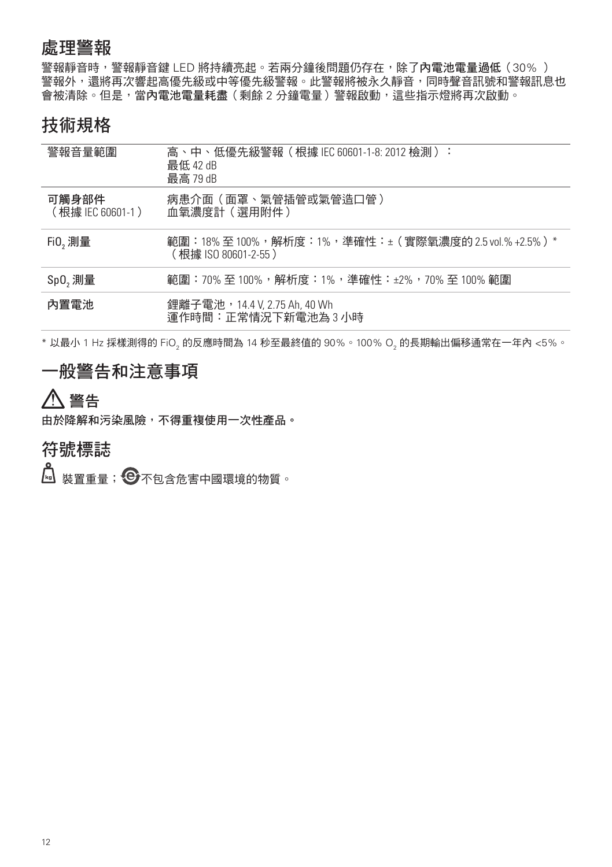### 處理警報

警報靜音時,警報靜音鍵 LED 將持續亮起。若兩分鐘後問題仍存在,除了內電池電量過低 (30% ) 警報外,還將再次響起高優先級或中等優先級警報。此警報將被永久靜音,同時聲音訊號和警報訊息也 會被清除。但是,當內電池電量耗盡(剩餘 2 分鐘電量)警報啟動,這些指示燈將再次啟動。

### 技術規格

| 警報音量範圍                     | 高、中、低優先級警報(根據 IEC 60601-1-8: 2012 檢測):<br>最低 42 dB<br>最高 79 dB              |
|----------------------------|-----------------------------------------------------------------------------|
| 可觸身部件<br>(根據 IEC 60601-1 ) | 病患介面(面罩、氣管插管或氣管造口管 )<br>血氧濃度計(選用附件)                                         |
| Fi0,<br>                   | 範圍:18% 至 100%,解析度:1%,準確性:±(實際氧濃度的 2.5 vol.% +2.5%)*<br>(根據 ISO 80601-2-55 ) |
| Sp0, 測量                    | 範圍:70% 至 100%,解析度:1%,準確性:±2%,70% 至 100% 範圍                                  |
| 內置雷池                       | 鋰離子電池,14.4 V, 2.75 Ah, 40 Wh<br>運作時間:正常情況下新電池為 3 小時                         |

\* 以最小 1 Hz 採樣測得的 FiO, 的反應時間為 14 秒至最終值的 90%。100% O, 的長期輸出偏移通常在一年內 <5%。

### 一般警告和注意事項

# 警告

由於降解和污染風險,不得重複使用一次性產品。

### 符號標誌

 $\begin{bmatrix} \bullet \ \bullet \end{bmatrix}$  裝置重量; $\begin{bmatrix} \bigodot \ \end{bmatrix}$ 不包含危害中國環境的物質。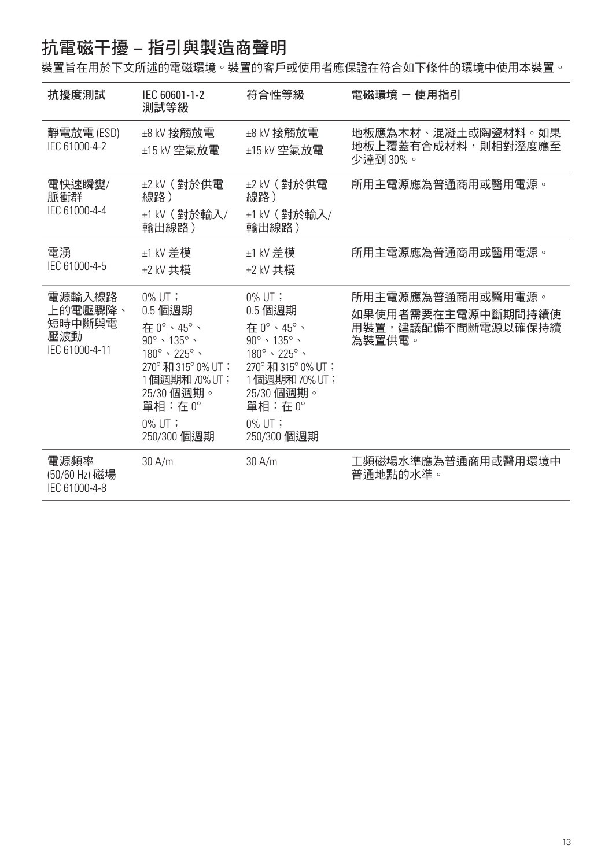# 抗電磁干擾 – 指引與製造商聲明

裝置旨在用於下文所述的電磁環境。裝置的客戶或使用者應保證在符合如下條件的環境中使用本裝置。

| 抗擾度測試                                                | IEC 60601-1-2<br>測試等級                                                                                                                                                                             | 符合性等級                                                                                                                                                                                                 | 雷磁環境 - 使用指引                                                             |
|------------------------------------------------------|---------------------------------------------------------------------------------------------------------------------------------------------------------------------------------------------------|-------------------------------------------------------------------------------------------------------------------------------------------------------------------------------------------------------|-------------------------------------------------------------------------|
| 靜電放電 (ESD)<br>IEC 61000-4-2                          | ±8 kV 接觸放電<br>±15 kV 空氣放電                                                                                                                                                                         | ±8 kV 接觸放電<br>±15 kV 空氣放電                                                                                                                                                                             | 地板應為木材、混凝土或陶瓷材料。如果<br>地板上覆蓋有合成材料,則相對溼度應至<br>少達到 30%。                    |
| 雷快速瞬變/<br>脈衝群<br>IEC 61000-4-4                       | ±2 kV ( 對於供電<br>線路)<br>±1 kV (對於輸入/<br>輸出線路)                                                                                                                                                      | ±2 kV(對於供電<br>線路)<br>±1 kV (對於輸入/<br>輸出線路)                                                                                                                                                            | 所用主電源應為普通商用或醫用電源。                                                       |
| 電湧<br>IEC 61000-4-5                                  | ±1 kV 差模<br>±2 kV 共模                                                                                                                                                                              | ±1 kV 差模<br>±2 kV 共模                                                                                                                                                                                  | 所用主電源應為普通商用或醫用電源。                                                       |
| 電源輸入線路<br>上的雷壓驟降、<br>短時中斷與電<br>壓波動<br>IEC 61000-4-11 | $0\%$ UT ;<br>0.5 個调期<br>在 0°、45°、<br>$90^\circ \cdot 135^\circ \cdot$<br>$180^\circ \cdot 225^\circ \cdot$<br>270°和315°0%UT;<br>1個週期和70%UT;<br>25/30 個週期。<br>單相:在 0°<br>$0\%$ UT;<br>250/300 個週期 | $0\%$ UT;<br>0.5 個调期<br>在 0°、45°、<br>$90^\circ \cdot 135^\circ \cdot$<br>$180^\circ \cdot 225^\circ \cdot$<br>270° 和 315° 0% UT;<br>1個週期和70% UT;<br>25/30 個週期。<br>單相:在0°<br>$0\%$ UT ;<br>250/300 個週期 | 所用主電源應為普通商用或醫用電源。<br>如果使用者需要在主電源中斷期間持續使<br>用裝置,建議配備不間斷電源以確保持續<br>為裝置供雷。 |
| 電源頻率<br>(50/60 Hz) 磁場<br>IEC 61000-4-8               | 30 A/m                                                                                                                                                                                            | 30 A/m                                                                                                                                                                                                | 工頻磁場水準應為普通商用或醫用環境中<br>普诵地點的水準。                                          |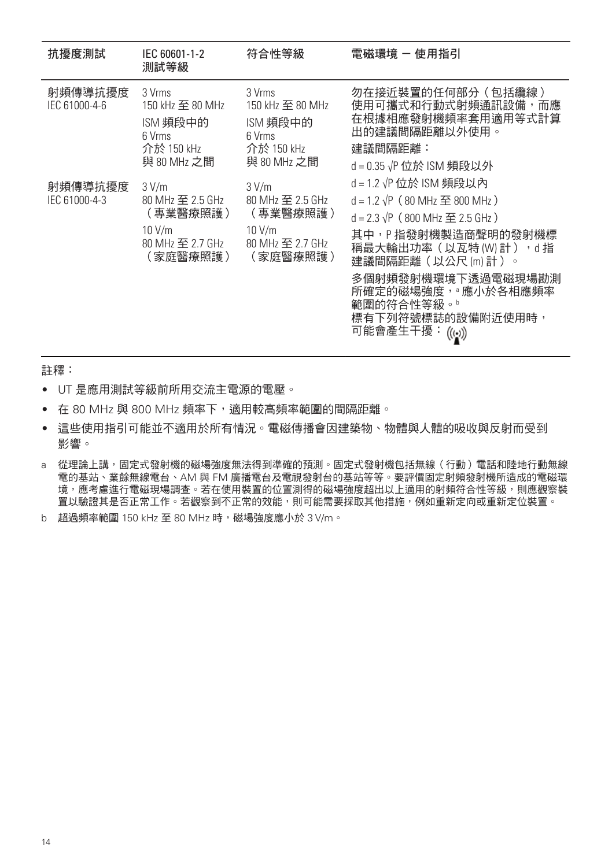| 抗擾度測試                    | IEC 60601-1-2<br>測試等級                                                           | 符合性等級                                                                           | 雷磁環境 - 使用指引                                                                                                                                                                                                                                                              |
|--------------------------|---------------------------------------------------------------------------------|---------------------------------------------------------------------------------|--------------------------------------------------------------------------------------------------------------------------------------------------------------------------------------------------------------------------------------------------------------------------|
| 射頻傳導抗擾度<br>IEC 61000-4-6 | 3 Vrms<br>150 kHz 至 80 MHz<br>ISM 頻段中的<br>6 Vrms<br>介於 150 kHz<br>與 80 MHz 之間   | 3 Vrms<br>150 kHz 至 80 MHz<br>ISM 頻段中的<br>6 Vrms<br>介於 150 kHz<br>與 80 MHz 之間   | 勿在接近裝置的任何部分(包括纜線)<br>使用可攜式和行動式射頻通訊設備,而應<br>在根據相應發射機頻率套用適用等式計算<br>出的建議間隔距離以外使用。<br>建議間隔距離:<br>d = 0.35 √P 位於 ISM 頻段以外                                                                                                                                                     |
| 射頻傳導抗擾度<br>IEC 61000-4-3 | 3 V/m<br>80 MHz 至 2.5 GHz<br>(專業醫療照護)<br>10 V/m<br>80 MHz 至 2.7 GHz<br>(家庭醫療照護) | 3 V/m<br>80 MHz 至 2.5 GHz<br>(專業醫療照護)<br>10 V/m<br>80 MHz 至 2.7 GHz<br>(家庭醫療照護) | d = 1.2 √P 位於 ISM 頻段以內<br>$d = 1.2 \sqrt{P}$ (80 MHz $\Xi$ 800 MHz)<br>d = 2.3 $\sqrt{P}$ (800 MHz 至 2.5 GHz)<br>其中,P 指發射機製造商聲明的發射機標<br>稱最大輸出功率 ( 以瓦特 (W) 計 ) , d 指<br>建議間隔距離(以公尺 ㎞) 計 )。<br>多個射頻發射機環境下透過電磁現場勘測<br>所確定的磁場強度, 禮小於各相應頻率<br>範圍的符合性等級。"<br>標有下列符號標誌的設備附近使用時, |

註釋:

- UT 是應用測試等級前所用交流主電源的電壓。
- 在 80 MHz 與 800 MHz 頻率下,適用較高頻率範圍的間隔距離。
- 這些使用指引可能並不適用於所有情況。電磁傳播會因建築物、物體與人體的吸收與反射而受到 影響。
- a 從理論上講,固定式發射機的磁場強度無法得到準確的預測。固定式發射機包括無線(行動) 電話和陸地行動無線 電的基站、業餘無線電台、AM 與 FM 廣播電台及電視發射台的基站等等。要評價固定射頻發射機所造成的電磁環 境,應考慮進行電磁現場調查。若在使用裝置的位置測得的磁場強度超出以上適用的射頻符合性等級,則應觀察裝 置以驗證其是否正常工作。若觀察到不正常的效能,則可能需要採取其他措施,例如重新定向或重新定位裝置。
- b 超過頻率範圍 150 kHz 至 80 MHz 時,磁場強度應小於 3 V/m。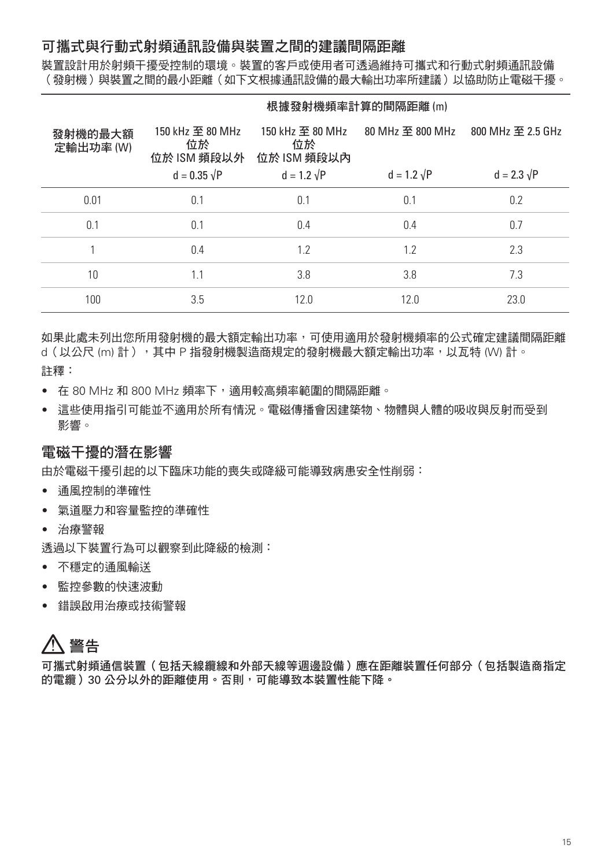#### 可攜式與行動式射頻通訊設備與裝置之間的建議間隔距離

裝置設計用於射頻干擾受控制的環境。裝置的客戶或使用者可透過維持可攜式和行動式射頻通訊設備 (發射機)與裝置之間的最小距離(如下文根據通訊設備的最大輸出功率所建議)以協助防止電磁干擾。

|                      |                                       | 根據發射機頻率計算的間隔距離(m)                     |                    |                    |  |
|----------------------|---------------------------------------|---------------------------------------|--------------------|--------------------|--|
| 發射機的最大額<br>定輸出功率 (W) | 150 kHz 至 80 MHz<br>位於<br>位於 ISM 頻段以外 | 150 kHz 至 80 MHz<br>位於<br>位於 ISM 頻段以內 | 80 MHz 至 800 MHz   | 800 MHz 至 2.5 GHz  |  |
|                      | $d = 0.35 \sqrt{P}$                   | $d = 1.2 \sqrt{P}$                    | $d = 1.2 \sqrt{P}$ | $d = 2.3 \sqrt{P}$ |  |
| 0.01                 | 0.1                                   | 0.1                                   | 0.1                | 0.2                |  |
| 0.1                  | 0.1                                   | 0.4                                   | 0.4                | 0.7                |  |
|                      | 0.4                                   | 1.2                                   | 1.2                | 2.3                |  |
| 10                   | 1.1                                   | 3.8                                   | 3.8                | 7.3                |  |
| 100                  | 3.5                                   | 12.0                                  | 12.0               | 23.0               |  |

如果此處未列出您所用發射機的最大額定輸出功率,可使用適用於發射機頻率的公式確定建議間隔距離 d (以公尺 (m) 計), 其中 P 指發射機製造商規定的發射機最大額定輪出功率,以瓦特 (W) 計。 註釋:

- 在 80 MHz 和 800 MHz 頻率下,適用較高頻率範圍的間隔距離。
- 這些使用指引可能並不適用於所有情況。電磁傳播會因建築物、物體與人體的吸收與反射而受到 影響。

#### 電磁干擾的潛在影響

由於電磁干擾引起的以下臨床功能的喪失或降級可能導致病患安全性削弱:

- 通風控制的準確性
- 氣道壓力和容量監控的準確性
- 治療警報

透過以下裝置行為可以觀察到此降級的檢測:

- 不穩定的通風輸送
- 監控參數的快速波動
- 錯誤啟用治療或技術警報

# 警告

可攜式射頻通信裝置(包括天線纜線和外部天線等週邊設備)應在距離裝置任何部分(包括製造商指定 的電纜)30 公分以外的距離使用。否則,可能導致本裝置性能下降。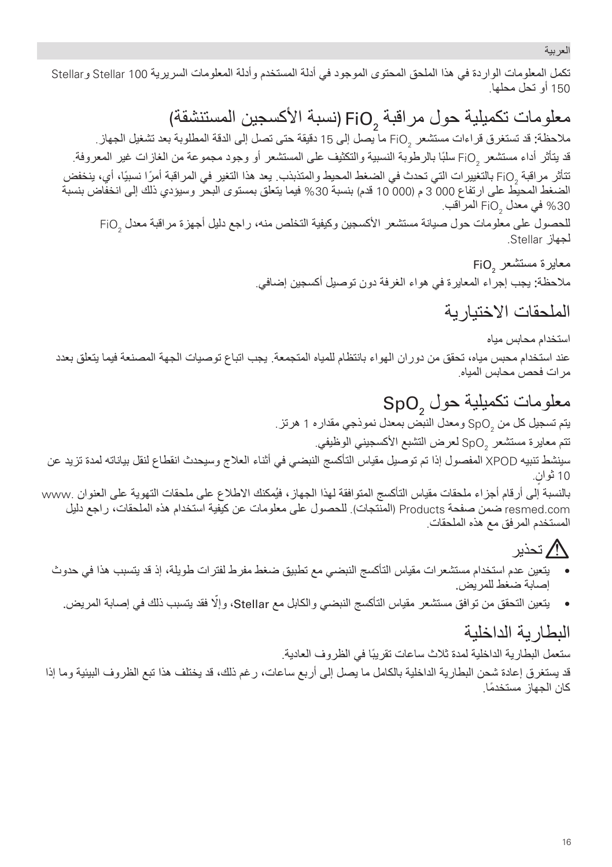العربیة

تكمل المعلومات الواردة في ھذا الملحق المحتوى الموجود في أدلة المستخدم وأدلة المعلومات السریریة 100 Stellar وStellar 150 أو تحل محلھا.

 (نسبة الأكسجین المستنشقة) ملاحظة: قد تستغرق قراءات مستشعر FiO ما يصل إلى 15 دقيقة حتى تصل إلى الدقة المطلوبة بعد تشغيل الجهاز معلومات تكميلية حول مر اقبة FiO ونسبة الاكسجين المستنشقة)<br>ملاحقة: قد تستغرق قراءات مستشعر FiO ما يصل إلى 15 دقيقة حتى تصل إلى الدقة المطلوبة بعد تشغيل الجهاز.

قد يتاثر اداء مستشعر  $_{2}$ FiO سلبًا بالرطوبة النسبیة والتكثیف على المستشعر او وجود مجموعة من الغازات غیر المعروفة. تتأثر مراقبة 2FiO بالتغییرات التي تحدث في الضغط المحیط والمتذبذب. یعد ھذا التغیر في المراقبة ً أمرا ً نسبیا، أي، ینخفض الضغط المحیط على ارتفاع 000 3 م (000 10 قدم) بنسبة %30 فیما یتعلق بمستوى البحر وسیؤدي ذلك إلى انخفاض بنسبة في معدل FiO $_{\rm 2}$  المراقب.  $\%30$ للحصول على معلومات حول صیانة مستشعر الأكسجین وكیفیة التخلص منھ، راجع دلیل أجھزة مراقبة معدل 2FiO

لجھاز Stellar.

معایرة مستشعر EiO<sub>2</sub> ملاحظة: یجب إجراء المعایرة في ھواء الغرفة دون توصیل أكسجین إضافي.

الملحقات الاختیاریة

استخدام محابس میاه عند استخدام محبس میاه، تحقق من دوران الھواء بانتظام للمیاه المتجمعة. یجب اتباع توصیات الجھة المصنعة فیما یتعلق بعدد مرات فحص محابس المیاه.

معلومات تكميلية حول SpO وSpO<br>يتم تسجيل كل من ر<sub>SpO و</sub>معدل النبض بمعدل نموذجي مقداره 1 هرتز <sub>.</sub> تتم معايرة مستشعر  $\mathsf{SpO}_2$  لعرض التشبع الأكسجيني الوظيفي. سینشط تنبیھ XPOD المفصول إذا تم توصیل مقیاس التأكسج النبضي في أثناء العلاج وسیحدث انقطاع لنقل بیاناتھ لمدة تزید عن 10 ثوانٍ. بالنسبة إلى أرقام أجزاء ملحقات مقیاس التأكسج المتوافقة لھذا الجھاز، فیُمكنك الاطلاع على ملحقات التھویة على العنوان .www resmed.com ضمن صفحة Products (المنتجات). للحصول على معلومات عن كيفية استخدام هذه الملحقات، راجع دليل المستخدم المرفق مع ھذه الملحقات.

# تحذیر

- •یتعین عدم استخدام مستشعرات مقیاس التأكسج النبضي مع تطبیق ضغط مفرط لفترات طویلة، إذ قد یتسبب ھذا في حدوث إصابة ضغط للمریض.
	- یتعین التحقق من توافق مستشعر مقیاس التأكسج النبضي والكابل مع Stellar، ّوإلا •فقد یتسبب ذلك في إصابة المریض.

ا**لْبطاریة الداخلیة**<br>ستعمل البطاریة الداخلیة لمدة ثلاث ساعات تقریبًا في الظروف العادیة<sub>.</sub>

قد یستغرق إعادة شحن البطاریة الداخلیة بالكامل ما یصل إلى أربع ساعات، رغم ذلك، قد یختلف ھذا تبع الظروف البیئیة وما إذا كان الجھاز ً مستخدما.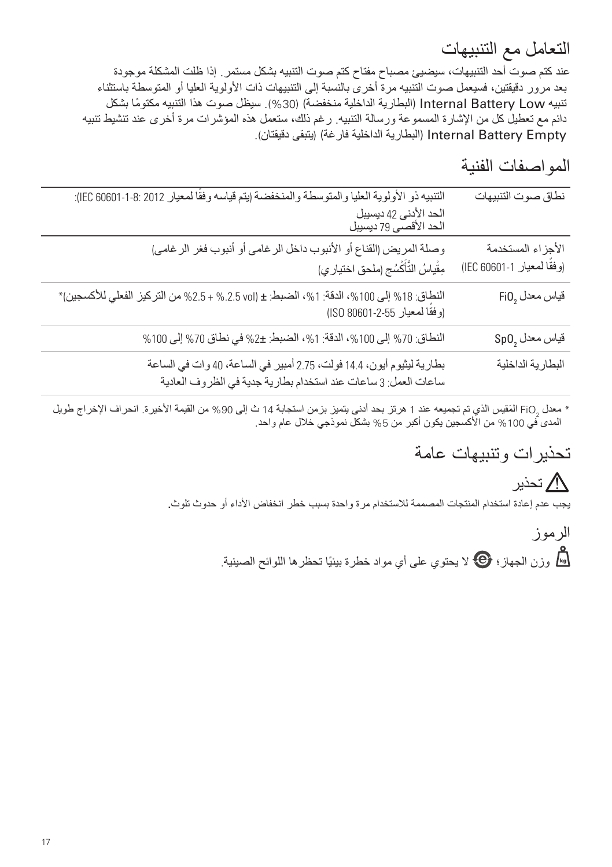### التعامل مع التنبیھات

عند كتم صوت أحد التنبیھات، سیضیئ مصباح مفتاح كتم صوت التنبیھ بشكل مستمر. إذا ظلت المشكلة موجودة بعد مرور دقیقتین، فسیعمل صوت التنبیھ مرة أخرى بالنسبة إلى التنبیھات ذات الأولویة العلیا أو المتوسطة باستثناء تنبیھ Low Battery Internal) البطاریة الداخلیة منخفضة) (%30). سیظل صوت ھذا التنبیھ ً مكتوما بشكل دائم مع تعطیل كل من الإشارة المسموعة ورسالة التنبیھ. رغم ذلك، ستعمل ھذه المؤشرات مرة أخرى عند تنشیط تنبیھ Empty Battery Internal) البطاریة الداخلیة فارغة) (یتبقى دقیقتان).

المواصفات الفنیة

| نطاق صوت التنبيهات                             | التنبيه ذو الأولوية العليا والمتوسطة والمنخفضة إيتم قياسه وفقًا لمعيار 2012 :8-1-60601 IEC):<br>الحد الأدنى 42 ديسيبل<br>الحد الأقصىي 79 ديسيبل |
|------------------------------------------------|-------------------------------------------------------------------------------------------------------------------------------------------------|
| الأجزاء المستخدمة<br>(وفقًا لمعيار 1-1606 IEC) | وصلة المريض (القناع أو الأنبوب داخل الر غامي أو أنبوب فغر الر غامي)<br>مِقْياسُ التَّأَكْسُجِ (ملحق اختيار ي)                                   |
| $Fi0,$ قياس معدل                               | النطاق: 18% إلى 100%، الدقة: 1%، الضبط: ± (0x1.5 vol). 2.5% من التركيز الفعلي للأكسجين)*<br>(وفقًا لمعيار 55-2-80601 ISO)                       |
| $\mathsf{SpO}_2$ فَياس معدل                    | النطاق: 70% إلى 100%، الدقة: 1%، الضبط: ±2% في نطاق 70% إلى 100%                                                                                |
| البطارية الداخلية                              | بطارية ليثيوم أيون، 14.4 فولت، 2.75 أمبير في الساعة، 40 وات في الساعة<br>ساعات العمل: 3 ساعات عند استخدام بطارية جدية في الظروف العادية         |

\* معدل 1<sub>GiO ا</sub>لمقیس الذي تم تجمیعه عند 1 هرتز بحد ادنى یتمیز بزمن استجابة 14 ث إلى 90% من القیمة الأخیرة. انحراف الإخراج طویل المدى في 100% من الأكسجين يكون أكبر من 5% بشكل نموذجي خلال عام واحد.

## تحذیرات وتنبیھات عامة

تحذیر یجب عدم إعادة استخدام المنتجات المصممة للاستخدام مرة واحدة بسبب خطر انخفاض الأداء أو حدوث تلوث.

> الرموز وَّار وزن الجهاز؛  $\bf \Theta$  لا یحتوی علی أي مواد خطرة بيئيًا تحظرها اللوائح الصينية.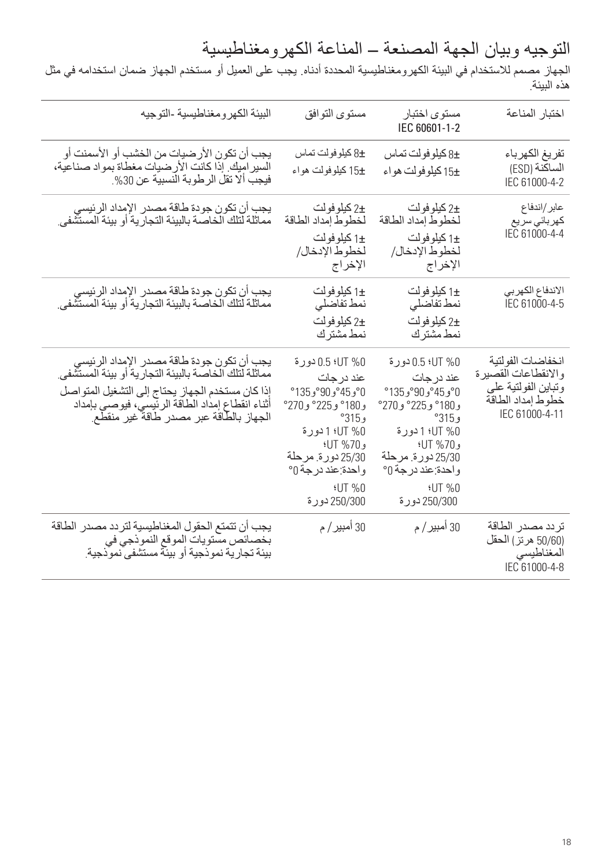التوجیھ وبیان الجھة المصنعة – المناعة الكھرومغناطیسیة

الجھاز مصمم للاستخدام في البیئة الكھرومغناطیسیة المحددة أدناه. یجب على العمیل أو مستخدم الجھاز ضمان استخدامھ في مثل ھذه البیئة.

| البيئة الكهر ومغناطيسية -التوجيه                                                                                                        | مستوى التوافق                               | مستو ی اختبار<br>IEC 60601-1-2          | اختبار المناعة                               |
|-----------------------------------------------------------------------------------------------------------------------------------------|---------------------------------------------|-----------------------------------------|----------------------------------------------|
|                                                                                                                                         | 8± كيلوفولت تماس                            | 8± كيلوفولت تماس                        | تفريغ الكهرباء                               |
| يجب أن تكون الأرضيات من الخشب أو الأسمنت أو<br>السير اميك إذا كانت الأرضيات مغطاة بمواد صناعية،<br>فيجب ألا تقل الرطوبة النسبية عن 30%. | ±15 كيلوفولت هواء                           | ±15 كيلوفولت هواء                       | الساكنة (ESD)                                |
|                                                                                                                                         |                                             |                                         | IEC 61000-4-2                                |
| يجب أن تكون جودة طاقة مصدر الإمداد الرئيسي<br>مماثلة لتلك الخاصة بالبيئة التجارية أو بيئة المستشفى                                      | ±2 كيلو فو لت                               | ±2 كېلو فو لت                           | عابر /اندفاع                                 |
|                                                                                                                                         | لخطوط إمداد الطاقة                          | لخطوط إمداد الطاقة                      | كهر بائى سر يع<br>IEC 61000-4-4              |
|                                                                                                                                         | ±1 كيلو فو لت<br>لخطوط الإدخال/             | ±1 کیلو فو لت<br>لخطوط الإدخال/         |                                              |
|                                                                                                                                         | الإخراج                                     | الإخراج                                 |                                              |
|                                                                                                                                         | ±1 كيلو فو لت                               | ±1 كيلو فو لت                           | الاندفاع الكهربى                             |
| يجب أن تكون جودة طاقة مصدر الإمداد الرئيسي<br>مماثلة لتلك الخاصـة بالبيئة التجارية أو بيئة المستشفى.                                    | نمط تفاضلي                                  | نمط تفاضلي                              | IEC 61000-4-5                                |
|                                                                                                                                         | +2 كېلو فو لت                               | ±2 كېلو فو لت                           |                                              |
|                                                                                                                                         | نمط مشتر ك                                  | نمط مشتر ك                              |                                              |
| يجب أن تكون جودة طاقة مصدر الإمداد الرئيسي                                                                                              | 10% UTسورة 0.5                              | 1% UT+ 0.5 دورة                         | انخفاضيات الفو لتبة                          |
| مماثلة لتلك الخاصة بالبيئة التجارية أو بيئة المستشفى                                                                                    | عند در جات                                  | عند در جات                              | و الانقطاعات القصبر ة<br>وتباين الفولتية على |
| إذا كان مستخدم الجهاز يحتاج إلى التشغيل المتواصل<br>أثناء انقطاع إمداد الطاقة الرئيسي، فيوصى بإمداد                                     | °135, 90°, 135°<br>و180° و 225° و 270°      | °135°, 90°, 135°<br>و180° و 225° و 270° | خطوط إمداد الطاقة                            |
| الجهاز بالطّاقة عبر مصدر طاقة غير منقطع                                                                                                 | $^{\circ}315$ ,                             | و 315°                                  | IEC 61000-4-11                               |
|                                                                                                                                         | 1.VT %0لا 1دورة                             | 1.VT %0 لدورة                           |                                              |
|                                                                                                                                         | $41T$ %70 $\frac{1}{2}$<br>25/30 دورة مرحلة | و UT %70؛<br>25/30 دورة مرحلة           |                                              |
|                                                                                                                                         | واحدة عند درجة 0°                           | واحدة عند درجة 0°                       |                                              |
|                                                                                                                                         | <b>:UT %0</b>                               | 0% TU+                                  |                                              |
|                                                                                                                                         | 250/300 دو رقا                              | 250/300 دو رقا                          |                                              |
| يجب أن تتمتع الحقول المغناطيسية لتردد مصدر الطاقة                                                                                       | 30 أمبير / م                                | 30 أمبير / م                            | تر دد مصدر الطاقة                            |
| بخصائص مستويات الموقع النموذجي في<br>بيئة تجارية نمو ذجية أو بيئة مستشفى نمو ذجية.                                                      |                                             |                                         | (50/60 هر تز ) الحقل                         |
|                                                                                                                                         |                                             |                                         | المغناطيسي<br>IEC 61000-4-8                  |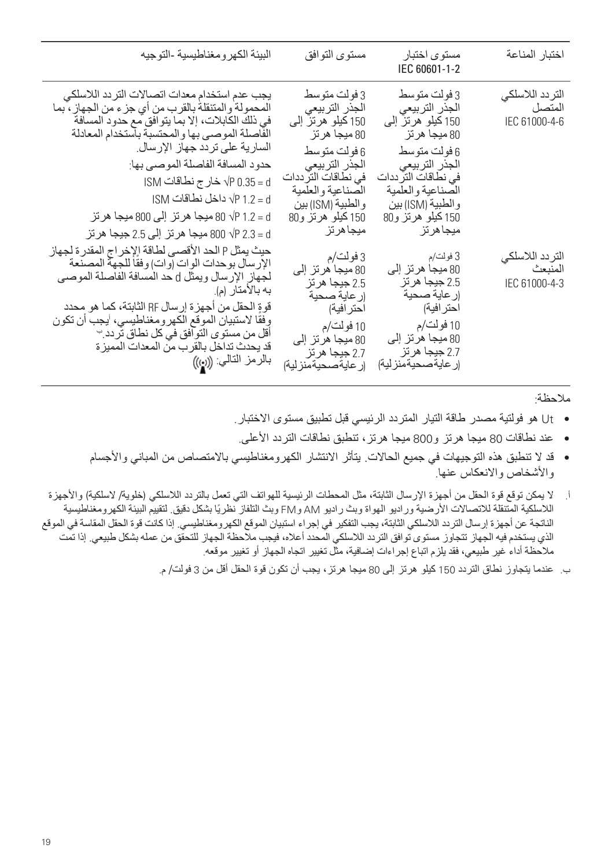| البيئة الكهرومغناطيسية التوجيه                                                                                                                                                                                                                                                                                                                                                                                                                          | مستوى التوافق                                                                                                                                                                                                | مستو ی اختبار<br>IEC 60601-1-2                                                                                                                                                                                | اختبار المناعة                               |
|---------------------------------------------------------------------------------------------------------------------------------------------------------------------------------------------------------------------------------------------------------------------------------------------------------------------------------------------------------------------------------------------------------------------------------------------------------|--------------------------------------------------------------------------------------------------------------------------------------------------------------------------------------------------------------|---------------------------------------------------------------------------------------------------------------------------------------------------------------------------------------------------------------|----------------------------------------------|
| يجب عدم استخدام معدات اتصىالات التردد اللاسلكي<br>المحمولة والمتنقلة بالقرب من أي جزء من الجهاز ، بما<br>في ذلك الكابلات، إلا بما يتو افق مع حدود المسافة<br>الفاصلة الموصىي بها والمحتسبة باستخدام المعادلة<br>السار ية على تر دد جهاز الإر سال.<br>حدود المسافة الفاصلة الموصىي بها:<br>d= 0.35 VP خار ج نطاقات ISM<br>√P 1.2 = dب داخل نطاقات ISM<br>d= 1.2 1.2 √ 80 ميجا هر تز  إلى 800 ميجا هر تز<br>d = 2.3 VP 2.3 ميجا هر تز  إلى 2.5 جيجا هر تز | 3 فولت متوسط<br>الجذر التربيعي<br>150 كيلو هرتز إلى<br>80 ميجا هر تز<br>6 فو لت متو سط<br>الجذر التربيعي<br>في نطاقات التر ددات<br>الصناعية والعلمية<br>و الطبية (ISM) بين<br>150 كيلو هرتز و80<br>ميجاهر تز | 3 فو لت متو سط<br>الجذر التربيعي<br>150 كيلو هرتز إلى<br>80 ميجا هر تز<br>6 فو لت متو سط<br>الجذر التربيعي<br>في نطاقات التر ددات<br>الصناعية والعلمية<br>و الطبية (ISM) بين<br>150 كيلو هرتز و80<br>ميجاهرتز | التر دد اللاسلكي<br>المتصل<br>IEC 61000-4-6  |
| حيث يمثل P الحد الأقصىي لطاقة الإخراج المقدرة لجهاز<br>الإرسال بوحدات الوات إوات) وفقاً للجهة المصنعة<br>لجهاز الإرسال ويمثل d حد المسافة الفاصلة الموصى<br>به بالامتار (م).<br>قوةٍ الحقل من أجهز ة إرسال RF الثابتة، كما هو محدد<br>وفقا لاستبيان الموقع الكهر ومغناطيسي، 'يجب أن تكون<br>أقل من مستوى التوافق في كل نطاق تردد. ٢<br>قد يحدث تداخل بالقر ب من المعدات المميز ة<br>بالر مز التالي: ((رو))                                              | 3 فولت/م<br>80 ميجا هر تز إلى<br>2.5 جيجا هر تز<br>(ر عاية صحية<br>احتر افية)<br>10 فولت/م<br>80 میجا ھر تز الّٰے<br>2.7 جيجا هر تز<br>(ر عايةصحيةمنز لية)                                                   | 3 فولت/م<br>80 ميجا هر تز إلى<br>2.5 جيجا هر تز<br>(ر عاية صحية<br>احتر افية)<br>10 فولت/م<br>80 ميجا هر تز إلى<br>2.7 جيجا هر تز<br>(ر عاية صحيةمنز لية)                                                     | التر دد اللاسلكي<br>المنبعث<br>IEC 61000-4-3 |

ملاحظة:

- Ut ھو فولتیة مصدر طاقة التیار المتردد الرئیسي قبل تطبیق مستوى الاختبار.
- •عند نطاقات 80 میجا ھرتز و800 میجا ھرتز، تنطبق نطاقات التردد الأعلى.
- •قد لا تنطبق ھذه التوجیھات في جمیع الحالات. یتأثر الانتشار الكھرومغناطیسي بالامتصاص من المباني والأجسام والأشخاص والانعكاس عنھا.
- أ. لا یمكن توقع قوة الحقل من أجھزة الإرسال الثابتة، مثل المحطات الرئیسیة للھواتف التي تعمل بالتردد اللاسلكي (خلویة/ لاسلكیة) والأجھزة اللاسلكیة المتنقلة للاتصالات الأرضیة ورادیو الھواة وبث رادیو AM وFM وبث التلفاز ً نظریا بشكل دقیق. لتقییم البیئة الكھرومغناطیسیة الناتجة عن أجھزة إرسال التردد اللاسلكي الثابتة، یجب التفكیر في إجراء استبیان الموقع الكھرومغناطیسي. إذا كانت قوة الحقل المقاسة في الموقع الذي یستخدم فیھ الجھاز تتجاوز مستوى توافق التردد اللاسلكي المحدد أعلاه، فیجب ملاحظة الجھاز للتحقق من عملھ بشكل طبیعي. إذا تمت ملاحظة أداء غیر طبیعي، فقد یلزم اتباع إجراءات إضافیة، مثل تغییر اتجاه الجھاز أو تغییر موقعھ.
	- ب. عندما یتجاوز نطاق التردد 150 كیلو ھرتز إلى 80 میجا ھرتز، یجب أن تكون قوة الحقل أقل من 3 فولت/ م.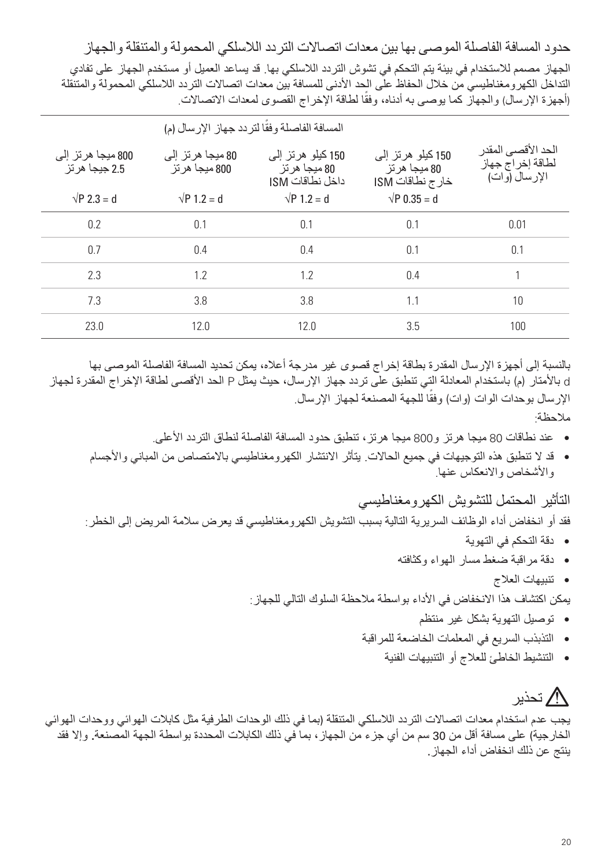حدود المسافة الفاصلة الموصى بھا بین معدات اتصالات التردد اللاسلكي المحمولة والمتنقلة والجھاز الجھاز مصمم للاستخدام في بیئة یتم التحكم في تشوش التردد اللاسلكي بھا. قد یساعد العمیل أو مستخدم الجھاز على تفادي التداخل الكھرومغناطیسي من خلال الحفاظ على الحد الأدنى للمسافة بین معدات اتصالات التردد اللاسلكي المحمولة والمتنقلة (اجهزة الإرسال) والجهاز كما يوصىي به ادناه، وفقا لطاقة الإخراج القصوى لمعدات الاتصالات ֦֧֦֧֦֧֦֧֦֧֦֧֖֧֦֧֖֖֖֖֖֖֚֚֚֚֚֚֚֚֝֝֝֝֝֬֝֝֬<br>֧ׅ֖֖֖֖֧ׅ֧֚֚֚֚֚֚֚֚֚֚֚֚֚֚֚֚֚֚֚֚֜<br>֧֝

| المسافة الفاصلة وفقًا لتردد جهاز الإرسال (م) |                                        |                                                        |                                                        |                                                            |
|----------------------------------------------|----------------------------------------|--------------------------------------------------------|--------------------------------------------------------|------------------------------------------------------------|
| 800 ميجا ھر تز الّٰے<br>2.5 جبجا هر تز       | 80 ميجا ھر تز الّٰے،<br>800 مبجا هر تز | 150 کیلو ہر تز الے<br>80 ميجا هر تز<br>داخل نطاقات ISM | 150 کیلو ہر تز الے<br>80 ميجا هر تز<br>خارج نطاقات ISM | الحد الأقصىي المقدر<br>لطاقة إخراج جهاز<br>الإر سال (و ات) |
| $\sqrt{P}$ 2.3 = d                           | $\sqrt{P}$ 1.2 = d                     | $\sqrt{P} 1.2 = d$                                     | $\sqrt{P}$ 0.35 = d                                    |                                                            |
| 0.2                                          | 0.1                                    | 0.1                                                    | 0.1                                                    | 0.01                                                       |
| 0.7                                          | 0.4                                    | 0.4                                                    | 0.1                                                    | 0.1                                                        |
| 2.3                                          | 1.2                                    | 1.2                                                    | 0.4                                                    | 1                                                          |
| 7.3                                          | 3.8                                    | 3.8                                                    | 11                                                     | 10                                                         |
| 23.0                                         | 12.0                                   | 12.0                                                   | 3.5                                                    | 100                                                        |

بالنسبة إلى أجھزة الإرسال المقدرة بطاقة إخراج قصوى غیر مدرجة أعلاه، یمكن تحدید المسافة الفاصلة الموصى بھا d بالأمتار (م) باستخدام المعادلة التي تنطبق على تردد جھاز الإرسال، حیث یمثل P الحد الأقصى لطاقة الإخراج المقدرة لجھاز الإرسال بوحدات الوات (وات) وفقا للجهة المصنعة لجهاز الإرسال. .<br>:

ملاحظة:

- •عند نطاقات 80 میجا ھرتز و800 میجا ھرتز، تنطبق حدود المسافة الفاصلة لنطاق التردد الأعلى.
- •قد لا تنطبق ھذه التوجیھات في جمیع الحالات. یتأثر الانتشار الكھرومغناطیسي بالامتصاص من المباني والأجسام والأشخاص والانعكاس عنھا.

التأثیر المحتمل للتشویش الكھرومغناطیسي

فقد أو انخفاض أداء الوظائف السریریة التالیة بسبب التشویش الكھرومغناطیسي قد یعرض سلامة المریض إلى الخطر:

- •دقة التحكم في التھویة
- •دقة مراقبة ضغط مسار الھواء وكثافتھ
	- •تنبیھات العلاج

یمكن اكتشاف ھذا الانخفاض في الأداء بواسطة ملاحظة السلوك التالي للجھاز:

- •توصیل التھویة بشكل غیر منتظم
- •التذبذب السریع في المعلمات الخاضعة للمراقبة
	- •التنشیط الخاطئ للعلاج أو التنبیھات الفنیة

# تحذیر

یجب عدم استخدام معدات اتصالات التردد اللاسلكي المتنقلة (بما في ذلك الوحدات الطرفیة مثل كابلات الھوائي ووحدات الھوائي الخارجیة) على مسافة أقل من 30 سم من أي جزء من الجھاز، بما في ذلك الكابلات المحددة بواسطة الجھة المصنعة. وإلا فقد ینتج عن ذلك انخفاض أداء الجھاز.